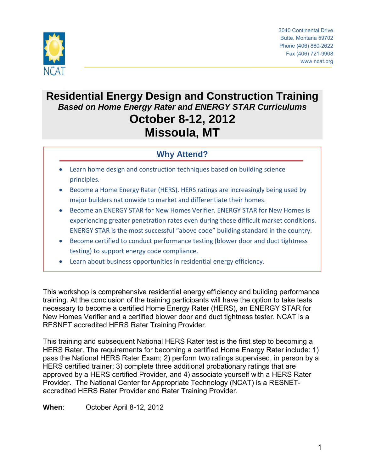

3040 Continental Drive Butte, Montana 59702 Phone (406) 880-2622 Fax (406) 721-9908 www.ncat.org

# **Residential Energy Design and Construction Training** *Based on Home Energy Rater and ENERGY STAR Curriculums* **October 8-12, 2012 Missoula, MT**

# **Why Attend?**

- Learn home design and construction techniques based on building science principles.
- Become a Home Energy Rater (HERS). HERS ratings are increasingly being used by major builders nationwide to market and differentiate their homes.
- Become an ENERGY STAR for New Homes Verifier. ENERGY STAR for New Homes is experiencing greater penetration rates even during these difficult market conditions. ENERGY STAR is the most successful "above code" building standard in the country.
- Become certified to conduct performance testing (blower door and duct tightness testing) to support energy code compliance.
- Learn about business opportunities in residential energy efficiency.

This workshop is comprehensive residential energy efficiency and building performance training. At the conclusion of the training participants will have the option to take tests necessary to become a certified Home Energy Rater (HERS), an ENERGY STAR for New Homes Verifier and a certified blower door and duct tightness tester. NCAT is a RESNET accredited HERS Rater Training Provider.

This training and subsequent National HERS Rater test is the first step to becoming a HERS Rater. The requirements for becoming a certified Home Energy Rater include: 1) pass the National HERS Rater Exam; 2) perform two ratings supervised, in person by a HERS certified trainer; 3) complete three additional probationary ratings that are approved by a HERS certified Provider, and 4) associate yourself with a HERS Rater Provider. The National Center for Appropriate Technology (NCAT) is a RESNETaccredited HERS Rater Provider and Rater Training Provider.

**When**: October April 8-12, 2012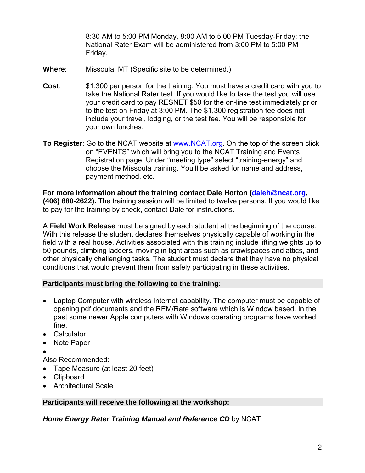8:30 AM to 5:00 PM Monday, 8:00 AM to 5:00 PM Tuesday-Friday; the National Rater Exam will be administered from 3:00 PM to 5:00 PM Friday.

- **Where**: Missoula, MT (Specific site to be determined.)
- **Cost**: \$1,300 per person for the training. You must have a credit card with you to take the National Rater test. If you would like to take the test you will use your credit card to pay RESNET \$50 for the on-line test immediately prior to the test on Friday at 3:00 PM. The \$1,300 registration fee does not include your travel, lodging, or the test fee. You will be responsible for your own lunches.
- **To Register**: Go to the NCAT website at [www.NCAT.org.](http://www.ncat.org/) On the top of the screen click on "EVENTS" which will bring you to the NCAT Training and Events Registration page. Under "meeting type" select "training-energy" and choose the Missoula training. You'll be asked for name and address, payment method, etc.

**For more information about the training contact Dale Horton (dale[h@ncat.org,](mailto:daleh@ncat.org) (406) 880-2622).** The training session will be limited to twelve persons. If you would like to pay for the training by check, contact Dale for instructions.

A **Field Work Release** must be signed by each student at the beginning of the course. With this release the student declares themselves physically capable of working in the field with a real house. Activities associated with this training include lifting weights up to 50 pounds, climbing ladders, moving in tight areas such as crawlspaces and attics, and other physically challenging tasks. The student must declare that they have no physical conditions that would prevent them from safely participating in these activities.

## **Participants must bring the following to the training:**

- Laptop Computer with wireless Internet capability. The computer must be capable of opening pdf documents and the REM/Rate software which is Window based. In the past some newer Apple computers with Windows operating programs have worked fine.
- Calculator
- Note Paper
- •

Also Recommended:

- Tape Measure (at least 20 feet)
- Clipboard
- Architectural Scale

#### **Participants will receive the following at the workshop:**

*Home Energy Rater Training Manual and Reference CD* by NCAT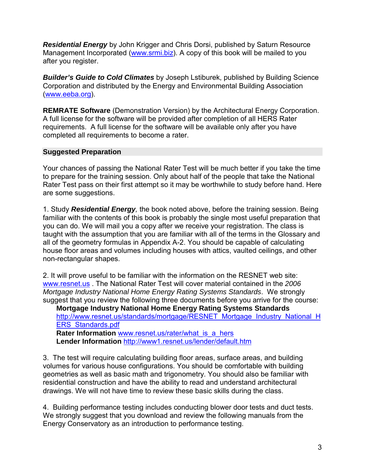*Residential Energy* by John Krigger and Chris Dorsi, published by Saturn Resource Management Incorporated [\(www.srmi.biz\)](http://www.srmi.biz/). A copy of this book will be mailed to you after you register.

*Builder's Guide to Cold Climates* by Joseph Lstiburek, published by Building Science Corporation and distributed by the Energy and Environmental Building Association [\(www.eeba.org\)](http://www.eeba.org/).

**REMRATE Software** (Demonstration Version) by the Architectural Energy Corporation. A full license for the software will be provided after completion of all HERS Rater requirements. A full license for the software will be available only after you have completed all requirements to become a rater.

### **Suggested Preparation**

Your chances of passing the National Rater Test will be much better if you take the time to prepare for the training session. Only about half of the people that take the National Rater Test pass on their first attempt so it may be worthwhile to study before hand. Here are some suggestions.

1. Study *Residential Energy,* the book noted above, before the training session. Being familiar with the contents of this book is probably the single most useful preparation that you can do. We will mail you a copy after we receive your registration. The class is taught with the assumption that you are familiar with all of the terms in the Glossary and all of the geometry formulas in Appendix A-2. You should be capable of calculating house floor areas and volumes including houses with attics, vaulted ceilings, and other non-rectangular shapes.

2. It will prove useful to be familiar with the information on the RESNET web site: [www.resnet.us](http://www.resnet.us/) . The National Rater Test will cover material contained in the *2006 Mortgage Industry National Home Energy Rating Systems Standards*. We strongly suggest that you review the following three documents before you arrive for the course:

**Mortgage Industry National Home Energy Rating Systems Standards**  [http://www.resnet.us/standards/mortgage/RESNET\\_Mortgage\\_Industry\\_National\\_H](http://www.resnet.us/standards/mortgage/RESNET_Mortgage_Industry_National_HERS_Standards.pdf) [ERS\\_Standards.pdf](http://www.resnet.us/standards/mortgage/RESNET_Mortgage_Industry_National_HERS_Standards.pdf) 

Rater Information www.resnet.us/rater/what is a hers Lender Information http://www1.resnet.us/lender/default.htm

3. The test will require calculating building floor areas, surface areas, and building volumes for various house configurations. You should be comfortable with building geometries as well as basic math and trigonometry. You should also be familiar with residential construction and have the ability to read and understand architectural drawings. We will not have time to review these basic skills during the class.

4. Building performance testing includes conducting blower door tests and duct tests. We strongly suggest that you download and review the following manuals from the Energy Conservatory as an introduction to performance testing.